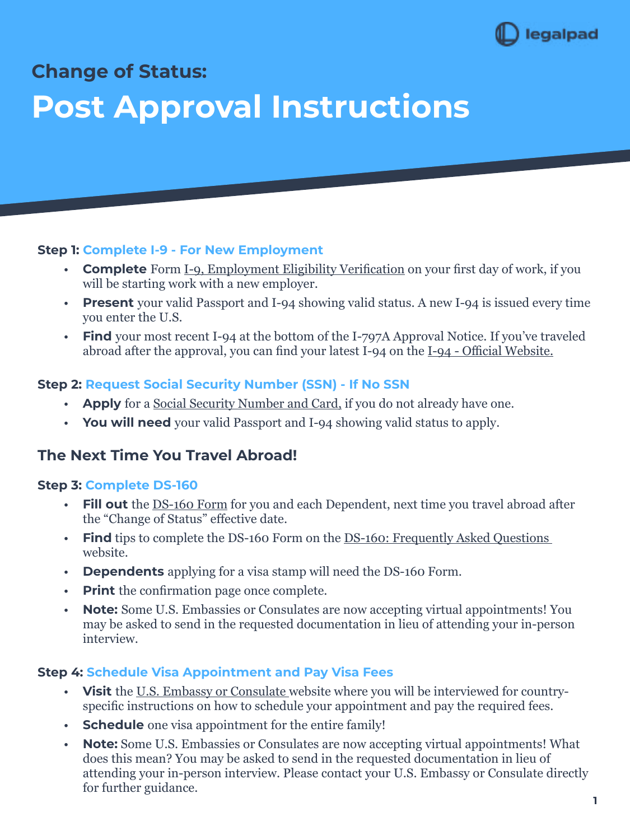

**Change of Status:** 

# **Post Approval Instructions**

#### **Step 1: Complete I-9 - For New Employment**

- **Complete** Form [I-9, Employment Eligibility Verification](https://www.uscis.gov/i-9) on your first day of work, if you will be starting work with a new employer.
- **Present** your valid Passport and I-94 showing valid status. A new I-94 is issued every time you enter the U.S.
- **• Find** your most recent I-94 at the bottom of the I-797A Approval Notice. If you've traveled abroad after the approval, you can find your latest I-94 on the <u>I-94 - Official Website.</u>

## **Step 2: Request Social Security Number (SSN) - If No SSN**

- **• Apply** for a [Social Security Number and Card,](https://www.ssa.gov/ssnumber/) if you do not already have one.
- **• You will need** your valid Passport and I-94 showing valid status to apply.

## **The Next Time You Travel Abroad!**

## **Step 3: Complete DS-160**

- **• Fill out** the [DS-160 Form](https://ceac.state.gov/genniv/) for you and each Dependent, next time you travel abroad after the "Change of Status" effective date.
- **Find** tips to complete the DS-160 Form on the <u>DS-160: Frequently Asked Questions</u> website.
- **Dependents** applying for a visa stamp will need the DS-160 Form.
- **Print** the confirmation page once complete.
- **• Note:** Some U.S. Embassies or Consulates are now accepting virtual appointments! You may be asked to send in the requested documentation in lieu of attending your in-person interview.

## **Step 4: Schedule Visa Appointment and Pay Visa Fees**

- **• Visit** the [U.S. Embassy or Consulate](https://www.usembassy.gov/) website where you will be interviewed for countryspecific instructions on how to schedule your appointment and pay the required fees.
- **•• Schedule** one visa appointment for the entire family!
- **• Note:** Some U.S. Embassies or Consulates are now accepting virtual appointments! What does this mean? You may be asked to send in the requested documentation in lieu of attending your in-person interview. Please contact your U.S. Embassy or Consulate directly for further guidance.